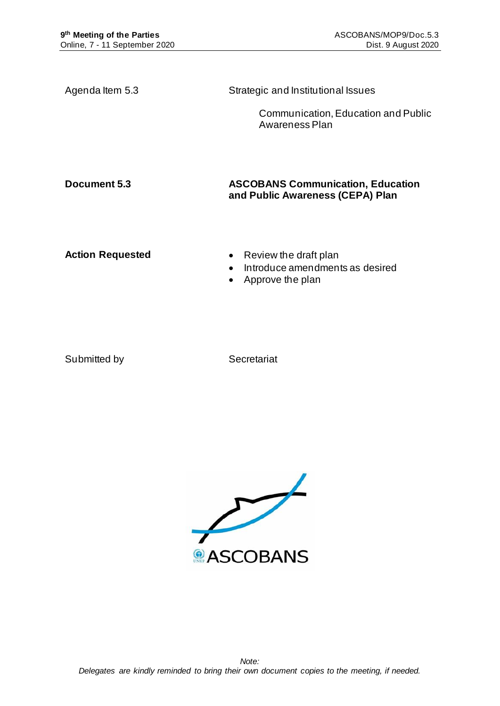| Agenda Item 5.3         | Strategic and Institutional Issues                                                                     |  |  |
|-------------------------|--------------------------------------------------------------------------------------------------------|--|--|
|                         | Communication, Education and Public<br>Awareness Plan                                                  |  |  |
| Document 5.3            | <b>ASCOBANS Communication, Education</b><br>and Public Awareness (CEPA) Plan                           |  |  |
| <b>Action Requested</b> | Review the draft plan<br>$\bullet$<br>Introduce amendments as desired<br>Approve the plan<br>$\bullet$ |  |  |

Submitted by Secretariat

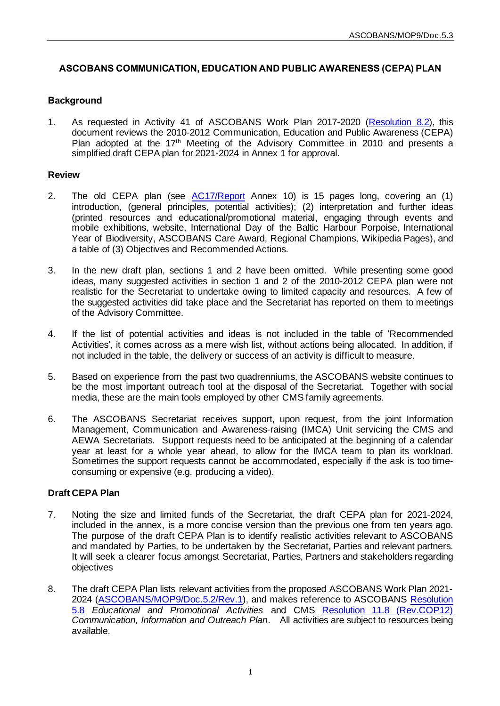## **ASCOBANS COMMUNICATION, EDUCATION AND PUBLIC AWARENESS (CEPA) PLAN**

### **Background**

1. As requested in Activity 41 of ASCOBANS Work Plan 2017-2020 [\(Resolution](https://www.ascobans.org/en/document/work-plan-ascobans-advisory-committee-and-secretariat-2017-2020-and-strategic-plan-0) 8.2), this document reviews the 2010-2012 Communication, Education and Public Awareness (CEPA) Plan adopted at the 17<sup>th</sup> Meeting of the Advisory Committee in 2010 and presents a simplified draft CEPA plan for 2021-2024 in Annex 1 for approval.

#### **Review**

- 2. The old CEPA plan (see [AC17/Report](https://www.ascobans.org/en/document/report-17th-meeting-ascobans-advisory-committee) Annex 10) is 15 pages long, covering an (1) introduction, (general principles, potential activities); (2) interpretation and further ideas (printed resources and educational/promotional material, engaging through events and mobile exhibitions, website, International Day of the Baltic Harbour Porpoise, International Year of Biodiversity, ASCOBANS Care Award, Regional Champions, Wikipedia Pages), and a table of (3) Objectives and Recommended Actions.
- 3. In the new draft plan, sections 1 and 2 have been omitted. While presenting some good ideas, many suggested activities in section 1 and 2 of the 2010-2012 CEPA plan were not realistic for the Secretariat to undertake owing to limited capacity and resources. A few of the suggested activities did take place and the Secretariat has reported on them to meetings of the Advisory Committee.
- 4. If the list of potential activities and ideas is not included in the table of 'Recommended Activities', it comes across as a mere wish list, without actions being allocated. In addition, if not included in the table, the delivery or success of an activity is difficult to measure.
- 5. Based on experience from the past two quadrenniums, the ASCOBANS website continues to be the most important outreach tool at the disposal of the Secretariat. Together with social media, these are the main tools employed by other CMS family agreements.
- 6. The ASCOBANS Secretariat receives support, upon request, from the joint Information Management, Communication and Awareness-raising (IMCA) Unit servicing the CMS and AEWA Secretariats. Support requests need to be anticipated at the beginning of a calendar year at least for a whole year ahead, to allow for the IMCA team to plan its workload. Sometimes the support requests cannot be accommodated, especially if the ask is too timeconsuming or expensive (e.g. producing a video).

#### **Draft CEPA Plan**

- 7. Noting the size and limited funds of the Secretariat, the draft CEPA plan for 2021-2024, included in the annex, is a more concise version than the previous one from ten years ago. The purpose of the draft CEPA Plan is to identify realistic activities relevant to ASCOBANS and mandated by Parties, to be undertaken by the Secretariat, Parties and relevant partners. It will seek a clearer focus amongst Secretariat, Parties, Partners and stakeholders regarding objectives
- 8. The draft CEPA Plan lists relevant activities from the proposed ASCOBANS Work Plan 2021- 2024 [\(ASCOBANS/MOP9/Doc.5.2/Rev.1](https://www.ascobans.org/en/document/draft-resolution-work-plan-ascobans-advisory-committee-and-secretariat-2021-2024)), and makes reference to ASCOBAN[S Resolution](https://www.ascobans.org/en/document/educational-and-promotional-activities-1)  [5.8](https://www.ascobans.org/en/document/educational-and-promotional-activities-1) *Educational and Promotional Activities* and CMS [Resolution 11.8 \(Rev.COP12\)](https://www.cms.int/en/document/communication-information-and-outreach-plan-0) *Communication, Information and Outreach Plan*. All activities are subject to resources being available.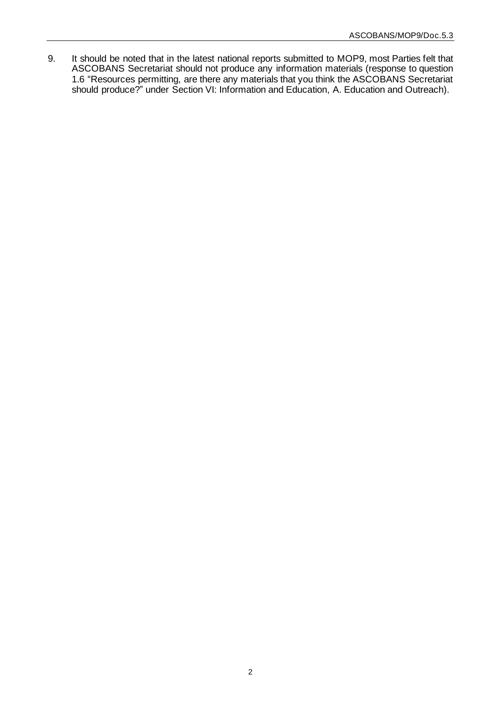9. It should be noted that in the latest national reports submitted to MOP9, most Parties felt that ASCOBANS Secretariat should not produce any information materials (response to question 1.6 "Resources permitting, are there any materials that you think the ASCOBANS Secretariat should produce?" under Section VI: Information and Education, A. Education and Outreach).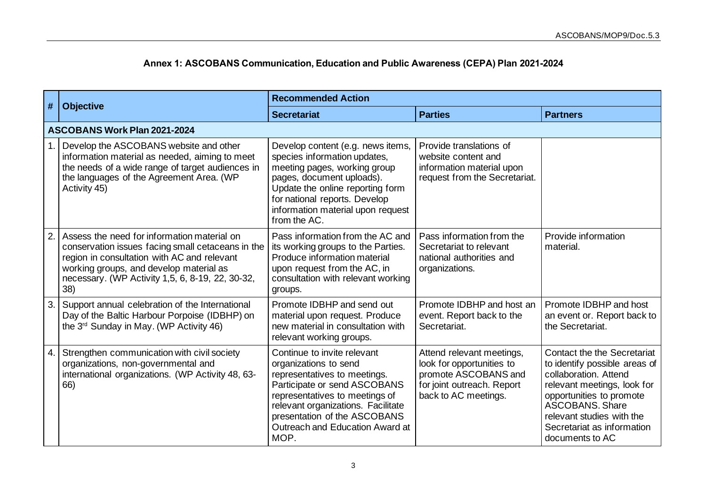# **Annex 1: ASCOBANS Communication, Education and Public Awareness (CEPA) Plan 2021-2024**

| $\vert \#$ | <b>Objective</b>                                                                                                                                                                                                                                      | <b>Recommended Action</b>                                                                                                                                                                                                                                               |                                                                                                                                      |                                                                                                                                                                                                                                                          |  |  |  |  |  |
|------------|-------------------------------------------------------------------------------------------------------------------------------------------------------------------------------------------------------------------------------------------------------|-------------------------------------------------------------------------------------------------------------------------------------------------------------------------------------------------------------------------------------------------------------------------|--------------------------------------------------------------------------------------------------------------------------------------|----------------------------------------------------------------------------------------------------------------------------------------------------------------------------------------------------------------------------------------------------------|--|--|--|--|--|
|            |                                                                                                                                                                                                                                                       | <b>Secretariat</b>                                                                                                                                                                                                                                                      | <b>Parties</b>                                                                                                                       | <b>Partners</b>                                                                                                                                                                                                                                          |  |  |  |  |  |
|            | <b>ASCOBANS Work Plan 2021-2024</b>                                                                                                                                                                                                                   |                                                                                                                                                                                                                                                                         |                                                                                                                                      |                                                                                                                                                                                                                                                          |  |  |  |  |  |
|            | Develop the ASCOBANS website and other<br>information material as needed, aiming to meet<br>the needs of a wide range of target audiences in<br>the languages of the Agreement Area. (WP<br>Activity 45)                                              | Develop content (e.g. news items,<br>species information updates,<br>meeting pages, working group<br>pages, document uploads).<br>Update the online reporting form<br>for national reports. Develop<br>information material upon request<br>from the AC.                | Provide translations of<br>website content and<br>information material upon<br>request from the Secretariat.                         |                                                                                                                                                                                                                                                          |  |  |  |  |  |
| 2.         | Assess the need for information material on<br>conservation issues facing small cetaceans in the<br>region in consultation with AC and relevant<br>working groups, and develop material as<br>necessary. (WP Activity 1,5, 6, 8-19, 22, 30-32,<br>38) | Pass information from the AC and<br>its working groups to the Parties.<br>Produce information material<br>upon request from the AC, in<br>consultation with relevant working<br>groups.                                                                                 | Pass information from the<br>Secretariat to relevant<br>national authorities and<br>organizations.                                   | Provide information<br>material.                                                                                                                                                                                                                         |  |  |  |  |  |
| 3.         | Support annual celebration of the International<br>Day of the Baltic Harbour Porpoise (IDBHP) on<br>the 3 <sup>rd</sup> Sunday in May. (WP Activity 46)                                                                                               | Promote IDBHP and send out<br>material upon request. Produce<br>new material in consultation with<br>relevant working groups.                                                                                                                                           | Promote IDBHP and host an<br>event. Report back to the<br>Secretariat.                                                               | Promote IDBHP and host<br>an event or. Report back to<br>the Secretariat.                                                                                                                                                                                |  |  |  |  |  |
| 4.1        | Strengthen communication with civil society<br>organizations, non-governmental and<br>international organizations. (WP Activity 48, 63-<br>66)                                                                                                        | Continue to invite relevant<br>organizations to send<br>representatives to meetings.<br>Participate or send ASCOBANS<br>representatives to meetings of<br>relevant organizations. Facilitate<br>presentation of the ASCOBANS<br>Outreach and Education Award at<br>MOP. | Attend relevant meetings,<br>look for opportunities to<br>promote ASCOBANS and<br>for joint outreach. Report<br>back to AC meetings. | Contact the the Secretariat<br>to identify possible areas of<br>collaboration. Attend<br>relevant meetings, look for<br>opportunities to promote<br><b>ASCOBANS, Share</b><br>relevant studies with the<br>Secretariat as information<br>documents to AC |  |  |  |  |  |